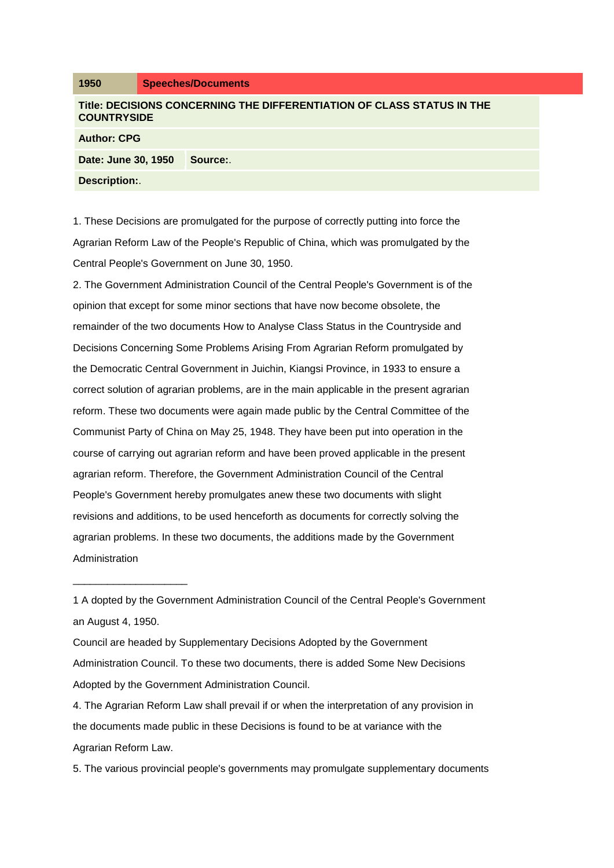| 1950                                                                                         | <b>Speeches/Documents</b> |         |
|----------------------------------------------------------------------------------------------|---------------------------|---------|
| Title: DECISIONS CONCERNING THE DIFFERENTIATION OF CLASS STATUS IN THE<br><b>COUNTRYSIDE</b> |                           |         |
| <b>Author: CPG</b>                                                                           |                           |         |
| Date: June 30, 1950                                                                          |                           | Source: |
| <b>Description:.</b>                                                                         |                           |         |

1. These Decisions are promulgated for the purpose of correctly putting into force the Agrarian Reform Law of the People's Republic of China, which was promulgated by the Central People's Government on June 30, 1950.

2. The Government Administration Council of the Central People's Government is of the opinion that except for some minor sections that have now become obsolete, the remainder of the two documents How to Analyse Class Status in the Countryside and Decisions Concerning Some Problems Arising From Agrarian Reform promulgated by the Democratic Central Government in Juichin, Kiangsi Province, in 1933 to ensure a correct solution of agrarian problems, are in the main applicable in the present agrarian reform. These two documents were again made public by the Central Committee of the Communist Party of China on May 25, 1948. They have been put into operation in the course of carrying out agrarian reform and have been proved applicable in the present agrarian reform. Therefore, the Government Administration Council of the Central People's Government hereby promulgates anew these two documents with slight revisions and additions, to be used henceforth as documents for correctly solving the agrarian problems. In these two documents, the additions made by the Government **Administration** 

\_\_\_\_\_\_\_\_\_\_\_\_\_\_\_\_\_\_\_\_

4. The Agrarian Reform Law shall prevail if or when the interpretation of any provision in the documents made public in these Decisions is found to be at variance with the Agrarian Reform Law.

5. The various provincial people's governments may promulgate supplementary documents

<sup>1</sup> A dopted by the Government Administration Council of the Central People's Government an August 4, 1950.

Council are headed by Supplementary Decisions Adopted by the Government Administration Council. To these two documents, there is added Some New Decisions Adopted by the Government Administration Council.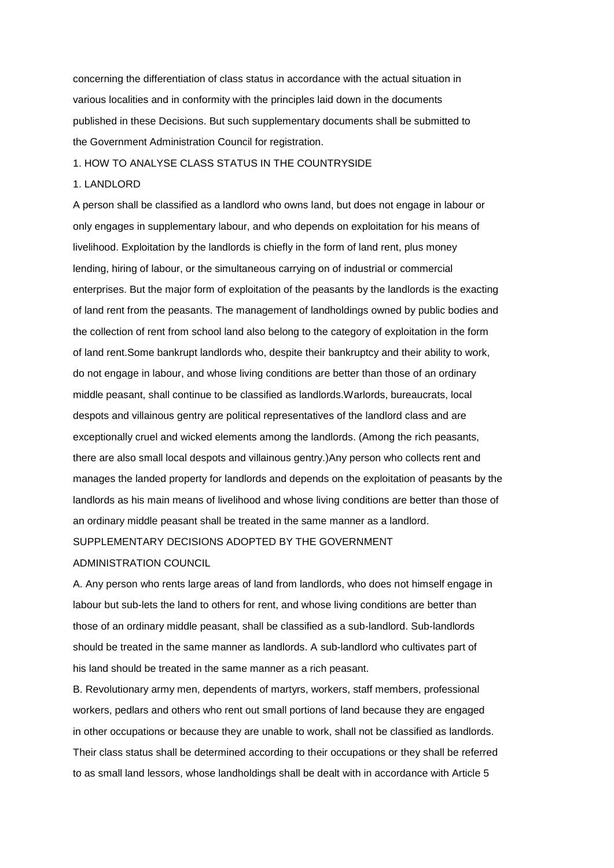concerning the differentiation of class status in accordance with the actual situation in various localities and in conformity with the principles laid down in the documents published in these Decisions. But such supplementary documents shall be submitted to the Government Administration Council for registration.

### 1. HOW TO ANALYSE CLASS STATUS IN THE COUNTRYSIDE

#### 1. LANDLORD

A person shall be classified as a landlord who owns land, but does not engage in labour or only engages in supplementary labour, and who depends on exploitation for his means of livelihood. Exploitation by the landlords is chiefly in the form of land rent, plus money lending, hiring of labour, or the simultaneous carrying on of industrial or commercial enterprises. But the major form of exploitation of the peasants by the landlords is the exacting of land rent from the peasants. The management of landholdings owned by public bodies and the collection of rent from school land also belong to the category of exploitation in the form of land rent.Some bankrupt landlords who, despite their bankruptcy and their ability to work, do not engage in labour, and whose living conditions are better than those of an ordinary middle peasant, shall continue to be classified as landlords.Warlords, bureaucrats, local despots and villainous gentry are political representatives of the landlord class and are exceptionally cruel and wicked elements among the landlords. (Among the rich peasants, there are also small local despots and villainous gentry.)Any person who collects rent and manages the landed property for landlords and depends on the exploitation of peasants by the landlords as his main means of livelihood and whose living conditions are better than those of an ordinary middle peasant shall be treated in the same manner as a landlord.

SUPPLEMENTARY DECISIONS ADOPTED BY THE GOVERNMENT

#### ADMINISTRATION COUNCIL

A. Any person who rents large areas of land from landlords, who does not himself engage in labour but sub-lets the land to others for rent, and whose living conditions are better than those of an ordinary middle peasant, shall be classified as a sub-landlord. Sub-landlords should be treated in the same manner as landlords. A sub-landlord who cultivates part of his land should be treated in the same manner as a rich peasant.

B. Revolutionary army men, dependents of martyrs, workers, staff members, professional workers, pedlars and others who rent out small portions of land because they are engaged in other occupations or because they are unable to work, shall not be classified as landlords. Their class status shall be determined according to their occupations or they shall be referred to as small land lessors, whose landholdings shall be dealt with in accordance with Article 5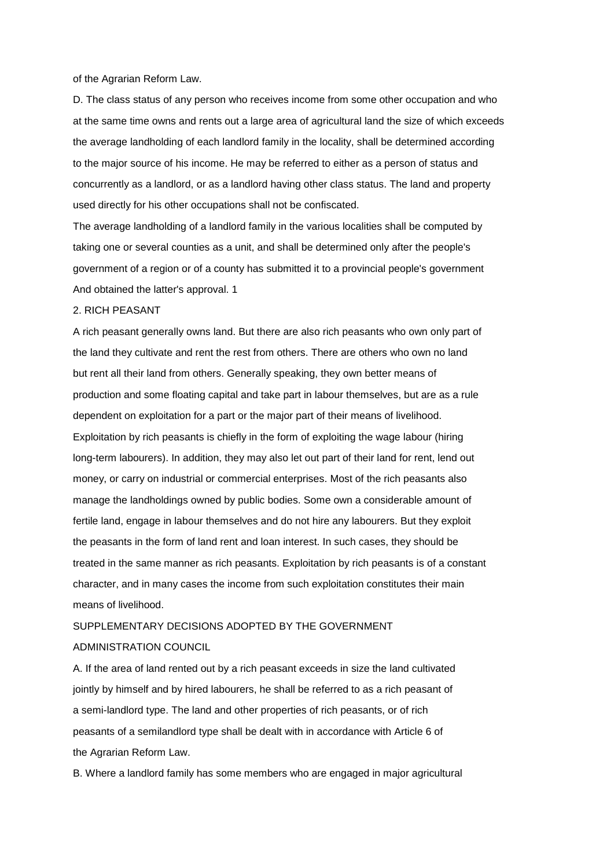of the Agrarian Reform Law.

D. The class status of any person who receives income from some other occupation and who at the same time owns and rents out a large area of agricultural land the size of which exceeds the average landholding of each landlord family in the locality, shall be determined according to the major source of his income. He may be referred to either as a person of status and concurrently as a landlord, or as a landlord having other class status. The land and property used directly for his other occupations shall not be confiscated.

The average landholding of a landlord family in the various localities shall be computed by taking one or several counties as a unit, and shall be determined only after the people's government of a region or of a county has submitted it to a provincial people's government And obtained the latter's approval. 1

### 2. RICH PEASANT

A rich peasant generally owns land. But there are also rich peasants who own only part of the land they cultivate and rent the rest from others. There are others who own no land but rent all their land from others. Generally speaking, they own better means of production and some floating capital and take part in labour themselves, but are as a rule dependent on exploitation for a part or the major part of their means of livelihood. Exploitation by rich peasants is chiefly in the form of exploiting the wage labour (hiring long-term labourers). In addition, they may also let out part of their land for rent, lend out money, or carry on industrial or commercial enterprises. Most of the rich peasants also manage the landholdings owned by public bodies. Some own a considerable amount of fertile land, engage in labour themselves and do not hire any labourers. But they exploit the peasants in the form of land rent and loan interest. In such cases, they should be treated in the same manner as rich peasants. Exploitation by rich peasants is of a constant character, and in many cases the income from such exploitation constitutes their main means of livelihood.

# SUPPLEMENTARY DECISIONS ADOPTED BY THE GOVERNMENT ADMINISTRATION COUNCIL

A. If the area of land rented out by a rich peasant exceeds in size the land cultivated jointly by himself and by hired labourers, he shall be referred to as a rich peasant of a semi-landlord type. The land and other properties of rich peasants, or of rich peasants of a semilandlord type shall be dealt with in accordance with Article 6 of the Agrarian Reform Law.

B. Where a landlord family has some members who are engaged in major agricultural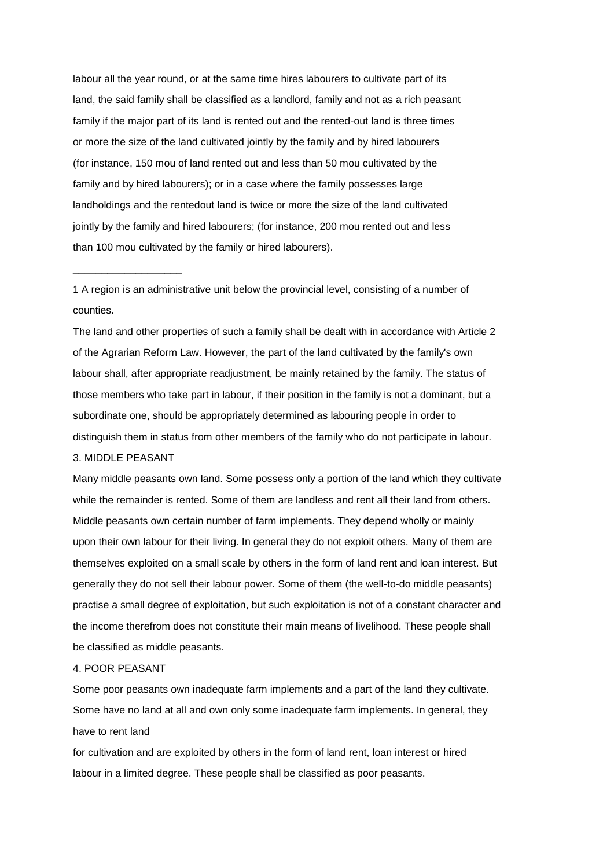labour all the year round, or at the same time hires labourers to cultivate part of its land, the said family shall be classified as a landlord, family and not as a rich peasant family if the major part of its land is rented out and the rented-out land is three times or more the size of the land cultivated jointly by the family and by hired labourers (for instance, 150 mou of land rented out and less than 50 mou cultivated by the family and by hired labourers); or in a case where the family possesses large landholdings and the rentedout land is twice or more the size of the land cultivated jointly by the family and hired labourers; (for instance, 200 mou rented out and less than 100 mou cultivated by the family or hired labourers).

1 A region is an administrative unit below the provincial level, consisting of a number of counties.

The land and other properties of such a family shall be dealt with in accordance with Article 2 of the Agrarian Reform Law. However, the part of the land cultivated by the family's own labour shall, after appropriate readjustment, be mainly retained by the family. The status of those members who take part in labour, if their position in the family is not a dominant, but a subordinate one, should be appropriately determined as labouring people in order to distinguish them in status from other members of the family who do not participate in labour. 3. MIDDLE PEASANT

Many middle peasants own land. Some possess only a portion of the land which they cultivate while the remainder is rented. Some of them are landless and rent all their land from others. Middle peasants own certain number of farm implements. They depend wholly or mainly upon their own labour for their living. In general they do not exploit others. Many of them are themselves exploited on a small scale by others in the form of land rent and loan interest. But generally they do not sell their labour power. Some of them (the well-to-do middle peasants) practise a small degree of exploitation, but such exploitation is not of a constant character and the income therefrom does not constitute their main means of livelihood. These people shall be classified as middle peasants.

#### 4. POOR PEASANT

\_\_\_\_\_\_\_\_\_\_\_\_\_\_\_\_\_\_\_

Some poor peasants own inadequate farm implements and a part of the land they cultivate. Some have no land at all and own only some inadequate farm implements. In general, they have to rent land

for cultivation and are exploited by others in the form of land rent, loan interest or hired labour in a limited degree. These people shall be classified as poor peasants.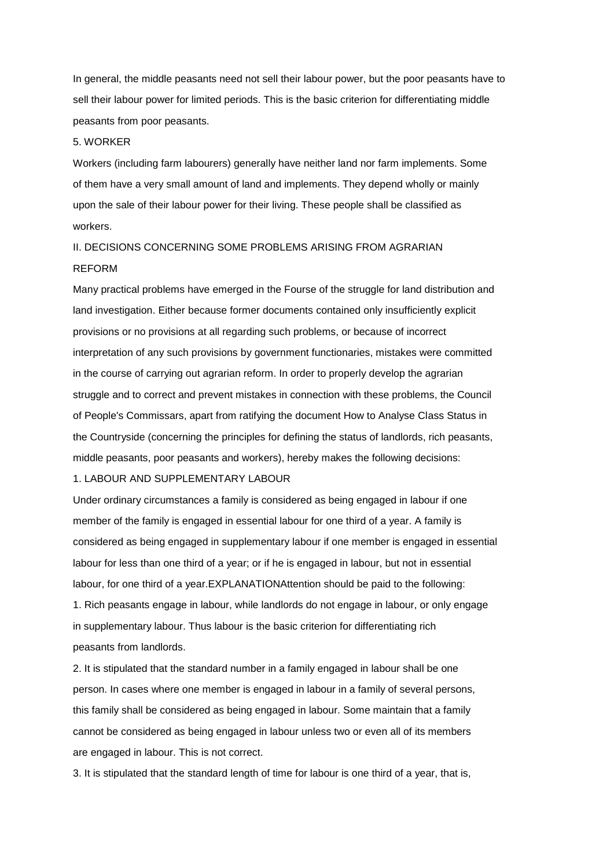In general, the middle peasants need not sell their labour power, but the poor peasants have to sell their labour power for limited periods. This is the basic criterion for differentiating middle peasants from poor peasants.

### 5. WORKER

Workers (including farm labourers) generally have neither land nor farm implements. Some of them have a very small amount of land and implements. They depend wholly or mainly upon the sale of their labour power for their living. These people shall be classified as workers.

# II. DECISIONS CONCERNING SOME PROBLEMS ARISING FROM AGRARIAN REFORM

Many practical problems have emerged in the Fourse of the struggle for land distribution and land investigation. Either because former documents contained only insufficiently explicit provisions or no provisions at all regarding such problems, or because of incorrect interpretation of any such provisions by government functionaries, mistakes were committed in the course of carrying out agrarian reform. In order to properly develop the agrarian struggle and to correct and prevent mistakes in connection with these problems, the Council of People's Commissars, apart from ratifying the document How to Analyse Class Status in the Countryside (concerning the principles for defining the status of landlords, rich peasants, middle peasants, poor peasants and workers), hereby makes the following decisions:

#### 1. LABOUR AND SUPPLEMENTARY LABOUR

Under ordinary circumstances a family is considered as being engaged in labour if one member of the family is engaged in essential labour for one third of a year. A family is considered as being engaged in supplementary labour if one member is engaged in essential labour for less than one third of a year; or if he is engaged in labour, but not in essential labour, for one third of a year.EXPLANATIONAttention should be paid to the following: 1. Rich peasants engage in labour, while landlords do not engage in labour, or only engage in supplementary labour. Thus labour is the basic criterion for differentiating rich peasants from landlords.

2. It is stipulated that the standard number in a family engaged in labour shall be one person. In cases where one member is engaged in labour in a family of several persons, this family shall be considered as being engaged in labour. Some maintain that a family cannot be considered as being engaged in labour unless two or even all of its members are engaged in labour. This is not correct.

3. It is stipulated that the standard length of time for labour is one third of a year, that is,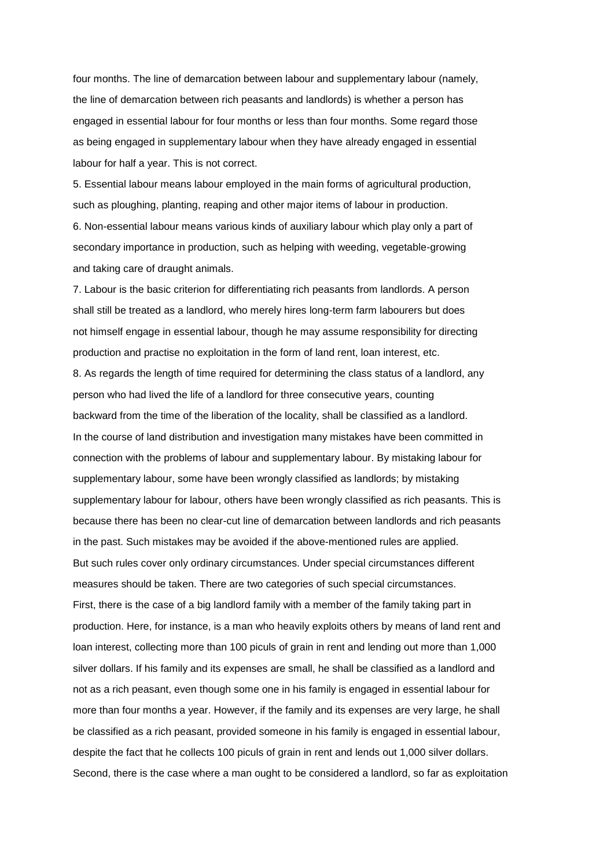four months. The line of demarcation between labour and supplementary labour (namely, the line of demarcation between rich peasants and landlords) is whether a person has engaged in essential labour for four months or less than four months. Some regard those as being engaged in supplementary labour when they have already engaged in essential labour for half a year. This is not correct.

5. Essential labour means labour employed in the main forms of agricultural production, such as ploughing, planting, reaping and other major items of labour in production.

6. Non-essential labour means various kinds of auxiliary labour which play only a part of secondary importance in production, such as helping with weeding, vegetable-growing and taking care of draught animals.

7. Labour is the basic criterion for differentiating rich peasants from landlords. A person shall still be treated as a landlord, who merely hires long-term farm labourers but does not himself engage in essential labour, though he may assume responsibility for directing production and practise no exploitation in the form of land rent, loan interest, etc.

8. As regards the length of time required for determining the class status of a landlord, any person who had lived the life of a landlord for three consecutive years, counting backward from the time of the liberation of the locality, shall be classified as a landlord. In the course of land distribution and investigation many mistakes have been committed in connection with the problems of labour and supplementary labour. By mistaking labour for supplementary labour, some have been wrongly classified as landlords; by mistaking supplementary labour for labour, others have been wrongly classified as rich peasants. This is because there has been no clear-cut line of demarcation between landlords and rich peasants in the past. Such mistakes may be avoided if the above-mentioned rules are applied. But such rules cover only ordinary circumstances. Under special circumstances different measures should be taken. There are two categories of such special circumstances. First, there is the case of a big landlord family with a member of the family taking part in production. Here, for instance, is a man who heavily exploits others by means of land rent and loan interest, collecting more than 100 piculs of grain in rent and lending out more than 1,000 silver dollars. If his family and its expenses are small, he shall be classified as a landlord and not as a rich peasant, even though some one in his family is engaged in essential labour for more than four months a year. However, if the family and its expenses are very large, he shall be classified as a rich peasant, provided someone in his family is engaged in essential labour, despite the fact that he collects 100 piculs of grain in rent and lends out 1,000 silver dollars. Second, there is the case where a man ought to be considered a landlord, so far as exploitation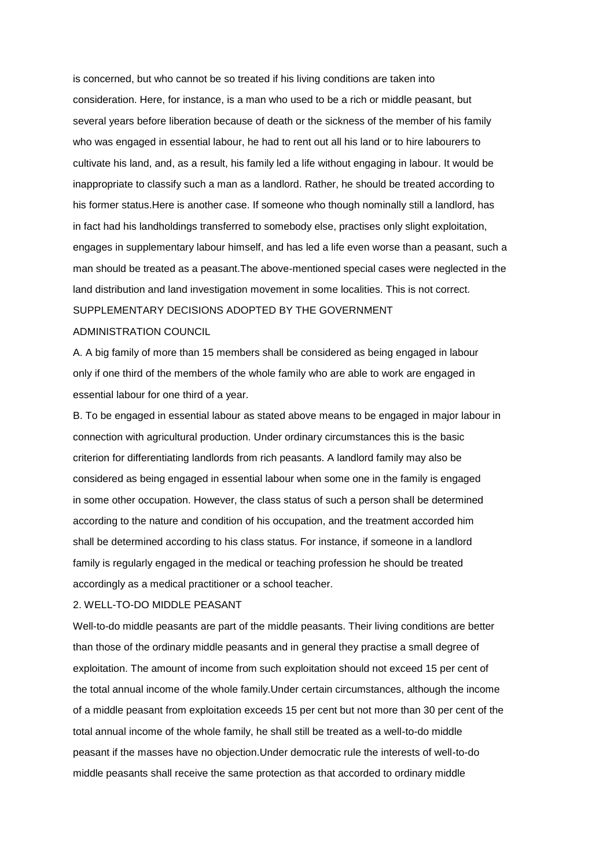is concerned, but who cannot be so treated if his living conditions are taken into consideration. Here, for instance, is a man who used to be a rich or middle peasant, but several years before liberation because of death or the sickness of the member of his family who was engaged in essential labour, he had to rent out all his land or to hire labourers to cultivate his land, and, as a result, his family led a life without engaging in labour. It would be inappropriate to classify such a man as a landlord. Rather, he should be treated according to his former status.Here is another case. If someone who though nominally still a landlord, has in fact had his landholdings transferred to somebody else, practises only slight exploitation, engages in supplementary labour himself, and has led a life even worse than a peasant, such a man should be treated as a peasant.The above-mentioned special cases were neglected in the land distribution and land investigation movement in some localities. This is not correct.

### SUPPLEMENTARY DECISIONS ADOPTED BY THE GOVERNMENT

### ADMINISTRATION COUNCIL

A. A big family of more than 15 members shall be considered as being engaged in labour only if one third of the members of the whole family who are able to work are engaged in essential labour for one third of a year.

B. To be engaged in essential labour as stated above means to be engaged in major labour in connection with agricultural production. Under ordinary circumstances this is the basic criterion for differentiating landlords from rich peasants. A landlord family may also be considered as being engaged in essential labour when some one in the family is engaged in some other occupation. However, the class status of such a person shall be determined according to the nature and condition of his occupation, and the treatment accorded him shall be determined according to his class status. For instance, if someone in a landlord family is regularly engaged in the medical or teaching profession he should be treated accordingly as a medical practitioner or a school teacher.

#### 2. WELL-TO-DO MIDDLE PEASANT

Well-to-do middle peasants are part of the middle peasants. Their living conditions are better than those of the ordinary middle peasants and in general they practise a small degree of exploitation. The amount of income from such exploitation should not exceed 15 per cent of the total annual income of the whole family.Under certain circumstances, although the income of a middle peasant from exploitation exceeds 15 per cent but not more than 30 per cent of the total annual income of the whole family, he shall still be treated as a well-to-do middle peasant if the masses have no objection.Under democratic rule the interests of well-to-do middle peasants shall receive the same protection as that accorded to ordinary middle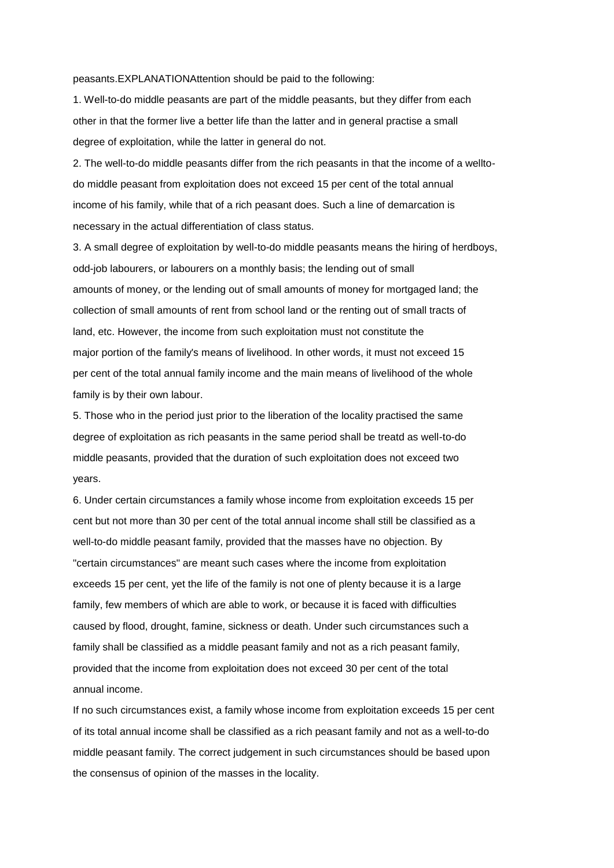peasants.EXPLANATIONAttention should be paid to the following:

1. Well-to-do middle peasants are part of the middle peasants, but they differ from each other in that the former live a better life than the latter and in general practise a small degree of exploitation, while the latter in general do not.

2. The well-to-do middle peasants differ from the rich peasants in that the income of a welltodo middle peasant from exploitation does not exceed 15 per cent of the total annual income of his family, while that of a rich peasant does. Such a line of demarcation is necessary in the actual differentiation of class status.

3. A small degree of exploitation by well-to-do middle peasants means the hiring of herdboys, odd-job labourers, or labourers on a monthly basis; the lending out of small amounts of money, or the lending out of small amounts of money for mortgaged land; the collection of small amounts of rent from school land or the renting out of small tracts of land, etc. However, the income from such exploitation must not constitute the major portion of the family's means of livelihood. In other words, it must not exceed 15 per cent of the total annual family income and the main means of livelihood of the whole family is by their own labour.

5. Those who in the period just prior to the liberation of the locality practised the same degree of exploitation as rich peasants in the same period shall be treatd as well-to-do middle peasants, provided that the duration of such exploitation does not exceed two years.

6. Under certain circumstances a family whose income from exploitation exceeds 15 per cent but not more than 30 per cent of the total annual income shall still be classified as a well-to-do middle peasant family, provided that the masses have no objection. By "certain circumstances" are meant such cases where the income from exploitation exceeds 15 per cent, yet the life of the family is not one of plenty because it is a large family, few members of which are able to work, or because it is faced with difficulties caused by flood, drought, famine, sickness or death. Under such circumstances such a family shall be classified as a middle peasant family and not as a rich peasant family, provided that the income from exploitation does not exceed 30 per cent of the total annual income.

If no such circumstances exist, a family whose income from exploitation exceeds 15 per cent of its total annual income shall be classified as a rich peasant family and not as a well-to-do middle peasant family. The correct judgement in such circumstances should be based upon the consensus of opinion of the masses in the locality.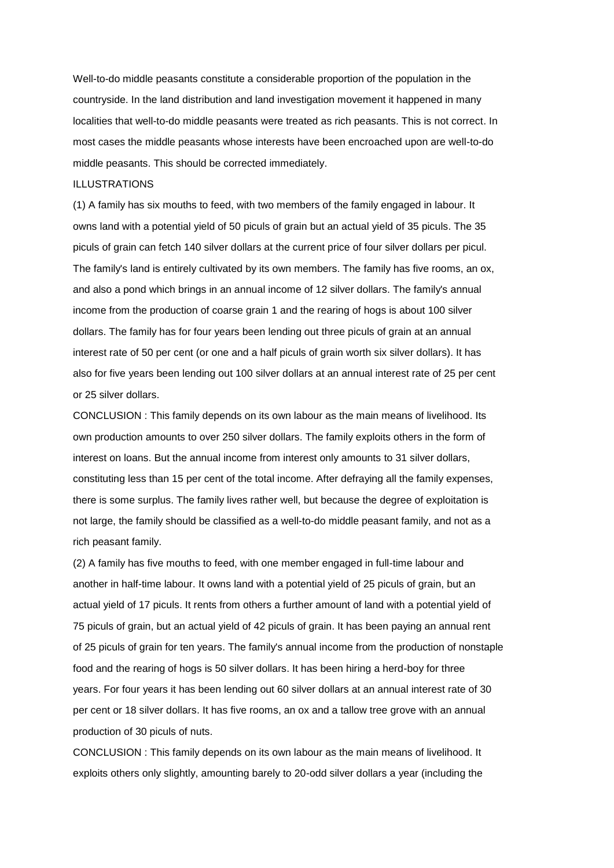Well-to-do middle peasants constitute a considerable proportion of the population in the countryside. In the land distribution and land investigation movement it happened in many localities that well-to-do middle peasants were treated as rich peasants. This is not correct. In most cases the middle peasants whose interests have been encroached upon are well-to-do middle peasants. This should be corrected immediately.

#### ILLUSTRATIONS

(1) A family has six mouths to feed, with two members of the family engaged in labour. It owns land with a potential yield of 50 piculs of grain but an actual yield of 35 piculs. The 35 piculs of grain can fetch 140 silver dollars at the current price of four silver dollars per picul. The family's land is entirely cultivated by its own members. The family has five rooms, an ox, and also a pond which brings in an annual income of 12 silver dollars. The family's annual income from the production of coarse grain 1 and the rearing of hogs is about 100 silver dollars. The family has for four years been lending out three piculs of grain at an annual interest rate of 50 per cent (or one and a half piculs of grain worth six silver dollars). It has also for five years been lending out 100 silver dollars at an annual interest rate of 25 per cent or 25 silver dollars.

CONCLUSION : This family depends on its own labour as the main means of livelihood. Its own production amounts to over 250 silver dollars. The family exploits others in the form of interest on loans. But the annual income from interest only amounts to 31 silver dollars, constituting less than 15 per cent of the total income. After defraying all the family expenses, there is some surplus. The family lives rather well, but because the degree of exploitation is not large, the family should be classified as a well-to-do middle peasant family, and not as a rich peasant family.

(2) A family has five mouths to feed, with one member engaged in full-time labour and another in half-time labour. It owns land with a potential yield of 25 piculs of grain, but an actual yield of 17 piculs. It rents from others a further amount of land with a potential yield of 75 piculs of grain, but an actual yield of 42 piculs of grain. It has been paying an annual rent of 25 piculs of grain for ten years. The family's annual income from the production of nonstaple food and the rearing of hogs is 50 silver dollars. It has been hiring a herd-boy for three years. For four years it has been lending out 60 silver dollars at an annual interest rate of 30 per cent or 18 silver dollars. It has five rooms, an ox and a tallow tree grove with an annual production of 30 piculs of nuts.

CONCLUSION : This family depends on its own labour as the main means of livelihood. It exploits others only slightly, amounting barely to 20-odd silver dollars a year (including the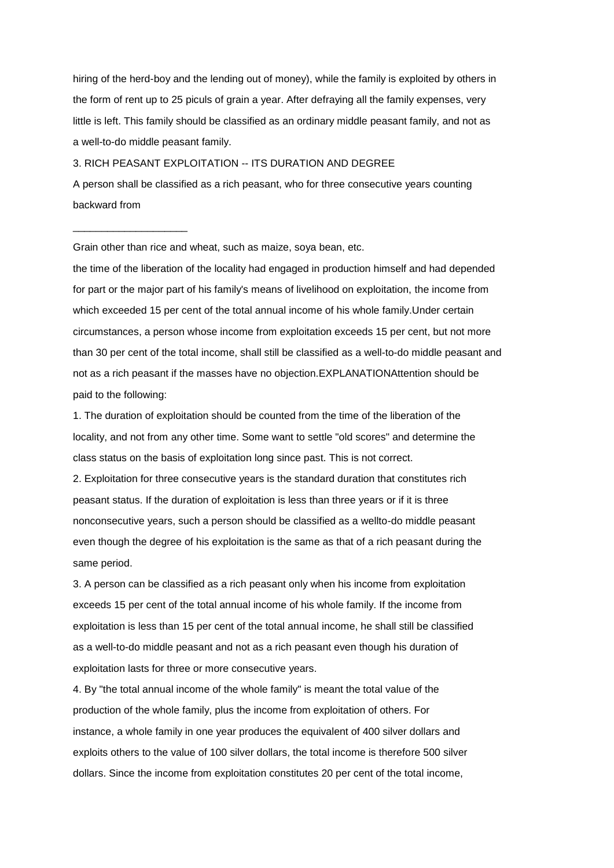hiring of the herd-boy and the lending out of money), while the family is exploited by others in the form of rent up to 25 piculs of grain a year. After defraying all the family expenses, very little is left. This family should be classified as an ordinary middle peasant family, and not as a well-to-do middle peasant family.

3. RICH PEASANT EXPLOITATION -- ITS DURATION AND DEGREE

A person shall be classified as a rich peasant, who for three consecutive years counting backward from

Grain other than rice and wheat, such as maize, soya bean, etc.

\_\_\_\_\_\_\_\_\_\_\_\_\_\_\_\_\_\_\_\_

the time of the liberation of the locality had engaged in production himself and had depended for part or the major part of his family's means of livelihood on exploitation, the income from which exceeded 15 per cent of the total annual income of his whole family.Under certain circumstances, a person whose income from exploitation exceeds 15 per cent, but not more than 30 per cent of the total income, shall still be classified as a well-to-do middle peasant and not as a rich peasant if the masses have no objection.EXPLANATIONAttention should be paid to the following:

1. The duration of exploitation should be counted from the time of the liberation of the locality, and not from any other time. Some want to settle "old scores" and determine the class status on the basis of exploitation long since past. This is not correct.

2. Exploitation for three consecutive years is the standard duration that constitutes rich peasant status. If the duration of exploitation is less than three years or if it is three nonconsecutive years, such a person should be classified as a wellto-do middle peasant even though the degree of his exploitation is the same as that of a rich peasant during the same period.

3. A person can be classified as a rich peasant only when his income from exploitation exceeds 15 per cent of the total annual income of his whole family. If the income from exploitation is less than 15 per cent of the total annual income, he shall still be classified as a well-to-do middle peasant and not as a rich peasant even though his duration of exploitation lasts for three or more consecutive years.

4. By "the total annual income of the whole family" is meant the total value of the production of the whole family, plus the income from exploitation of others. For instance, a whole family in one year produces the equivalent of 400 silver dollars and exploits others to the value of 100 silver dollars, the total income is therefore 500 silver dollars. Since the income from exploitation constitutes 20 per cent of the total income,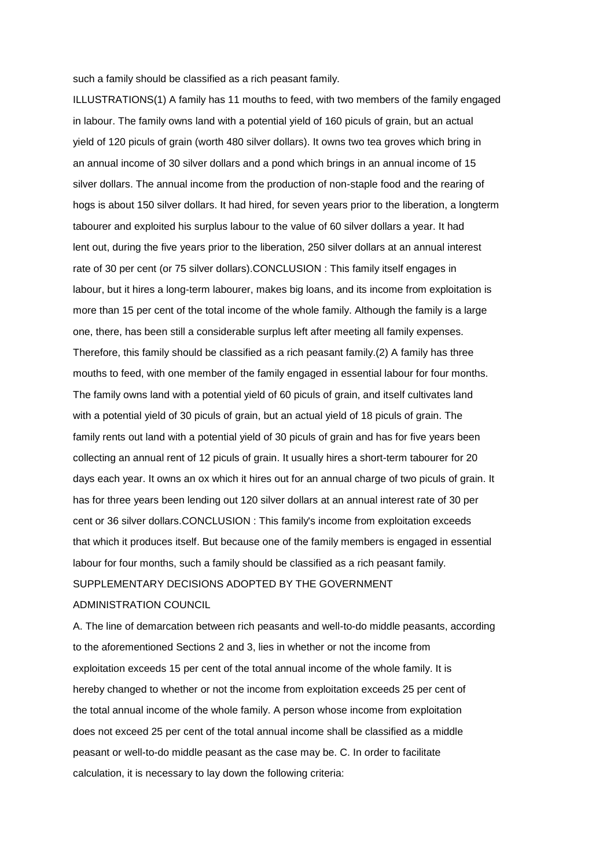such a family should be classified as a rich peasant family.

ILLUSTRATIONS(1) A family has 11 mouths to feed, with two members of the family engaged in labour. The family owns land with a potential yield of 160 piculs of grain, but an actual yield of 120 piculs of grain (worth 480 silver dollars). It owns two tea groves which bring in an annual income of 30 silver dollars and a pond which brings in an annual income of 15 silver dollars. The annual income from the production of non-staple food and the rearing of hogs is about 150 silver dollars. It had hired, for seven years prior to the liberation, a longterm tabourer and exploited his surplus labour to the value of 60 silver dollars a year. It had lent out, during the five years prior to the liberation, 250 silver dollars at an annual interest rate of 30 per cent (or 75 silver dollars).CONCLUSION : This family itself engages in labour, but it hires a long-term labourer, makes big loans, and its income from exploitation is more than 15 per cent of the total income of the whole family. Although the family is a large one, there, has been still a considerable surplus left after meeting all family expenses. Therefore, this family should be classified as a rich peasant family.(2) A family has three mouths to feed, with one member of the family engaged in essential labour for four months. The family owns land with a potential yield of 60 piculs of grain, and itself cultivates land with a potential yield of 30 piculs of grain, but an actual yield of 18 piculs of grain. The family rents out land with a potential yield of 30 piculs of grain and has for five years been collecting an annual rent of 12 piculs of grain. It usually hires a short-term tabourer for 20 days each year. It owns an ox which it hires out for an annual charge of two piculs of grain. It has for three years been lending out 120 silver dollars at an annual interest rate of 30 per cent or 36 silver dollars.CONCLUSION : This family's income from exploitation exceeds that which it produces itself. But because one of the family members is engaged in essential labour for four months, such a family should be classified as a rich peasant family. SUPPLEMENTARY DECISIONS ADOPTED BY THE GOVERNMENT ADMINISTRATION COUNCIL

A. The line of demarcation between rich peasants and well-to-do middle peasants, according to the aforementioned Sections 2 and 3, lies in whether or not the income from exploitation exceeds 15 per cent of the total annual income of the whole family. It is hereby changed to whether or not the income from exploitation exceeds 25 per cent of the total annual income of the whole family. A person whose income from exploitation does not exceed 25 per cent of the total annual income shall be classified as a middle peasant or well-to-do middle peasant as the case may be. C. In order to facilitate calculation, it is necessary to lay down the following criteria: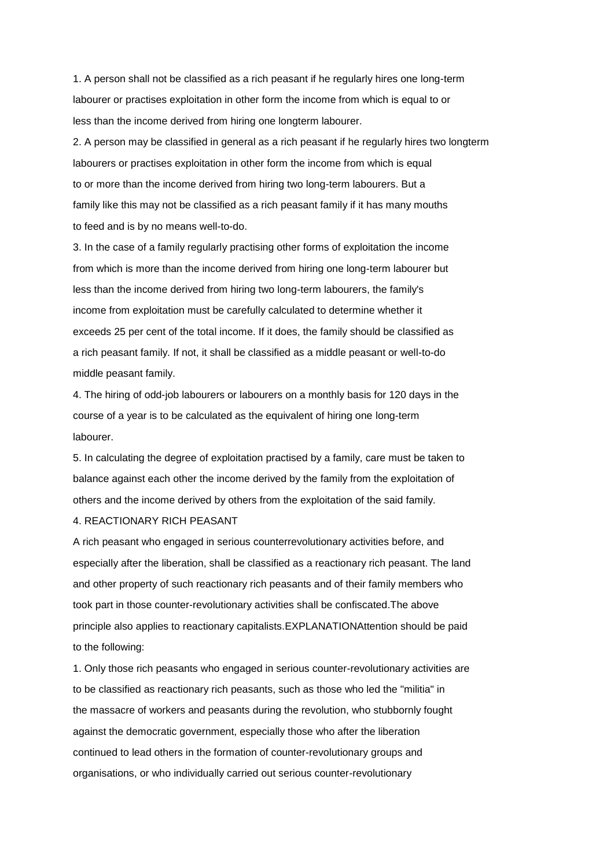1. A person shall not be classified as a rich peasant if he regularly hires one long-term labourer or practises exploitation in other form the income from which is equal to or less than the income derived from hiring one longterm labourer.

2. A person may be classified in general as a rich peasant if he regularly hires two longterm labourers or practises exploitation in other form the income from which is equal to or more than the income derived from hiring two long-term labourers. But a family like this may not be classified as a rich peasant family if it has many mouths to feed and is by no means well-to-do.

3. In the case of a family regularly practising other forms of exploitation the income from which is more than the income derived from hiring one long-term labourer but less than the income derived from hiring two long-term labourers, the family's income from exploitation must be carefully calculated to determine whether it exceeds 25 per cent of the total income. If it does, the family should be classified as a rich peasant family. If not, it shall be classified as a middle peasant or well-to-do middle peasant family.

4. The hiring of odd-job labourers or labourers on a monthly basis for 120 days in the course of a year is to be calculated as the equivalent of hiring one long-term labourer.

5. In calculating the degree of exploitation practised by a family, care must be taken to balance against each other the income derived by the family from the exploitation of others and the income derived by others from the exploitation of the said family.

#### 4. REACTIONARY RICH PEASANT

A rich peasant who engaged in serious counterrevolutionary activities before, and especially after the liberation, shall be classified as a reactionary rich peasant. The land and other property of such reactionary rich peasants and of their family members who took part in those counter-revolutionary activities shall be confiscated.The above principle also applies to reactionary capitalists.EXPLANATIONAttention should be paid to the following:

1. Only those rich peasants who engaged in serious counter-revolutionary activities are to be classified as reactionary rich peasants, such as those who led the "militia" in the massacre of workers and peasants during the revolution, who stubbornly fought against the democratic government, especially those who after the liberation continued to lead others in the formation of counter-revolutionary groups and organisations, or who individually carried out serious counter-revolutionary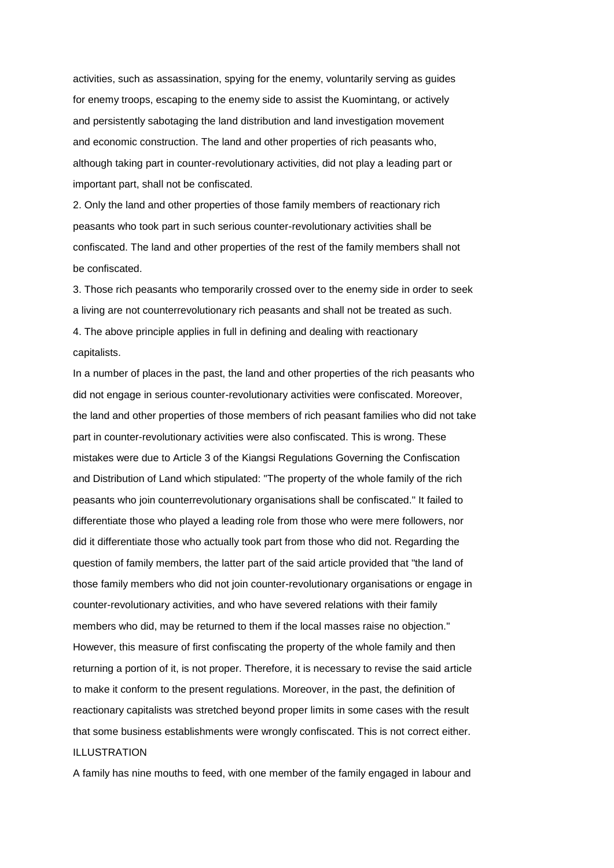activities, such as assassination, spying for the enemy, voluntarily serving as guides for enemy troops, escaping to the enemy side to assist the Kuomintang, or actively and persistently sabotaging the land distribution and land investigation movement and economic construction. The land and other properties of rich peasants who, although taking part in counter-revolutionary activities, did not play a leading part or important part, shall not be confiscated.

2. Only the land and other properties of those family members of reactionary rich peasants who took part in such serious counter-revolutionary activities shall be confiscated. The land and other properties of the rest of the family members shall not be confiscated.

3. Those rich peasants who temporarily crossed over to the enemy side in order to seek a living are not counterrevolutionary rich peasants and shall not be treated as such. 4. The above principle applies in full in defining and dealing with reactionary capitalists.

In a number of places in the past, the land and other properties of the rich peasants who did not engage in serious counter-revolutionary activities were confiscated. Moreover, the land and other properties of those members of rich peasant families who did not take part in counter-revolutionary activities were also confiscated. This is wrong. These mistakes were due to Article 3 of the Kiangsi Regulations Governing the Confiscation and Distribution of Land which stipulated: "The property of the whole family of the rich peasants who join counterrevolutionary organisations shall be confiscated." It failed to differentiate those who played a leading role from those who were mere followers, nor did it differentiate those who actually took part from those who did not. Regarding the question of family members, the latter part of the said article provided that "the land of those family members who did not join counter-revolutionary organisations or engage in counter-revolutionary activities, and who have severed relations with their family members who did, may be returned to them if the local masses raise no objection." However, this measure of first confiscating the property of the whole family and then returning a portion of it, is not proper. Therefore, it is necessary to revise the said article to make it conform to the present regulations. Moreover, in the past, the definition of reactionary capitalists was stretched beyond proper limits in some cases with the result that some business establishments were wrongly confiscated. This is not correct either. ILLUSTRATION

A family has nine mouths to feed, with one member of the family engaged in labour and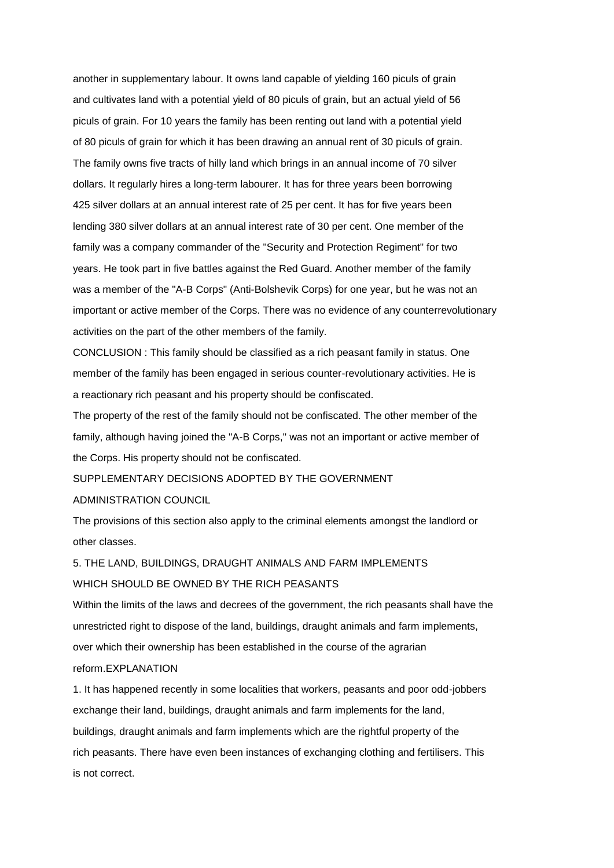another in supplementary labour. It owns land capable of yielding 160 piculs of grain and cultivates land with a potential yield of 80 piculs of grain, but an actual yield of 56 piculs of grain. For 10 years the family has been renting out land with a potential yield of 80 piculs of grain for which it has been drawing an annual rent of 30 piculs of grain. The family owns five tracts of hilly land which brings in an annual income of 70 silver dollars. It regularly hires a long-term labourer. It has for three years been borrowing 425 silver dollars at an annual interest rate of 25 per cent. It has for five years been lending 380 silver dollars at an annual interest rate of 30 per cent. One member of the family was a company commander of the "Security and Protection Regiment" for two years. He took part in five battles against the Red Guard. Another member of the family was a member of the "A-B Corps" (Anti-Bolshevik Corps) for one year, but he was not an important or active member of the Corps. There was no evidence of any counterrevolutionary activities on the part of the other members of the family.

CONCLUSION : This family should be classified as a rich peasant family in status. One member of the family has been engaged in serious counter-revolutionary activities. He is a reactionary rich peasant and his property should be confiscated.

The property of the rest of the family should not be confiscated. The other member of the family, although having joined the "A-B Corps," was not an important or active member of the Corps. His property should not be confiscated.

SUPPLEMENTARY DECISIONS ADOPTED BY THE GOVERNMENT

ADMINISTRATION COUNCIL

The provisions of this section also apply to the criminal elements amongst the landlord or other classes.

5. THE LAND, BUILDINGS, DRAUGHT ANIMALS AND FARM IMPLEMENTS WHICH SHOULD BE OWNED BY THE RICH PEASANTS

Within the limits of the laws and decrees of the government, the rich peasants shall have the unrestricted right to dispose of the land, buildings, draught animals and farm implements, over which their ownership has been established in the course of the agrarian reform.EXPLANATION

1. It has happened recently in some localities that workers, peasants and poor odd-jobbers exchange their land, buildings, draught animals and farm implements for the land, buildings, draught animals and farm implements which are the rightful property of the rich peasants. There have even been instances of exchanging clothing and fertilisers. This is not correct.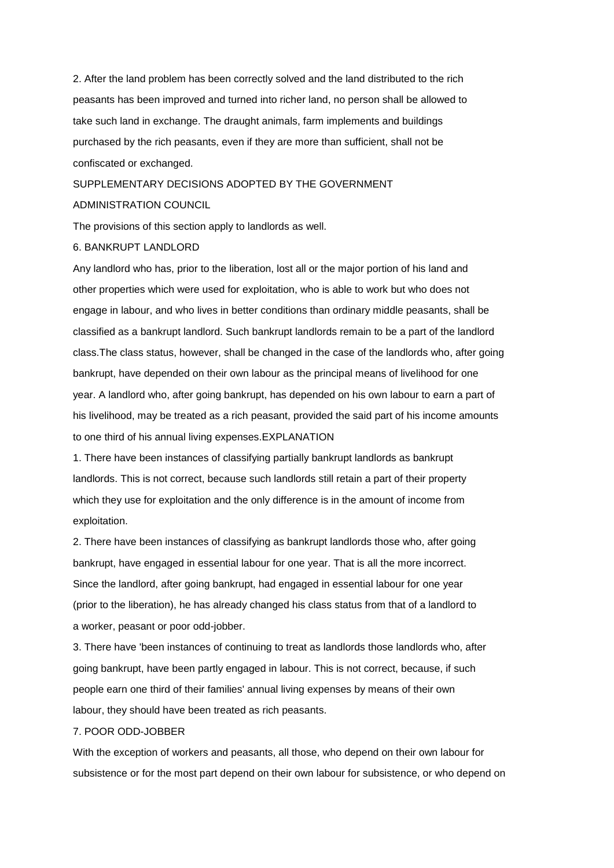2. After the land problem has been correctly solved and the land distributed to the rich peasants has been improved and turned into richer land, no person shall be allowed to take such land in exchange. The draught animals, farm implements and buildings purchased by the rich peasants, even if they are more than sufficient, shall not be confiscated or exchanged.

SUPPLEMENTARY DECISIONS ADOPTED BY THE GOVERNMENT

#### ADMINISTRATION COUNCIL

The provisions of this section apply to landlords as well.

#### 6. BANKRUPT LANDLORD

Any landlord who has, prior to the liberation, lost all or the major portion of his land and other properties which were used for exploitation, who is able to work but who does not engage in labour, and who lives in better conditions than ordinary middle peasants, shall be classified as a bankrupt landlord. Such bankrupt landlords remain to be a part of the landlord class.The class status, however, shall be changed in the case of the landlords who, after going bankrupt, have depended on their own labour as the principal means of livelihood for one year. A landlord who, after going bankrupt, has depended on his own labour to earn a part of his livelihood, may be treated as a rich peasant, provided the said part of his income amounts to one third of his annual living expenses.EXPLANATION

1. There have been instances of classifying partially bankrupt landlords as bankrupt landlords. This is not correct, because such landlords still retain a part of their property which they use for exploitation and the only difference is in the amount of income from exploitation.

2. There have been instances of classifying as bankrupt landlords those who, after going bankrupt, have engaged in essential labour for one year. That is all the more incorrect. Since the landlord, after going bankrupt, had engaged in essential labour for one year (prior to the liberation), he has already changed his class status from that of a landlord to a worker, peasant or poor odd-jobber.

3. There have 'been instances of continuing to treat as landlords those landlords who, after going bankrupt, have been partly engaged in labour. This is not correct, because, if such people earn one third of their families' annual living expenses by means of their own labour, they should have been treated as rich peasants.

### 7. POOR ODD-JOBBER

With the exception of workers and peasants, all those, who depend on their own labour for subsistence or for the most part depend on their own labour for subsistence, or who depend on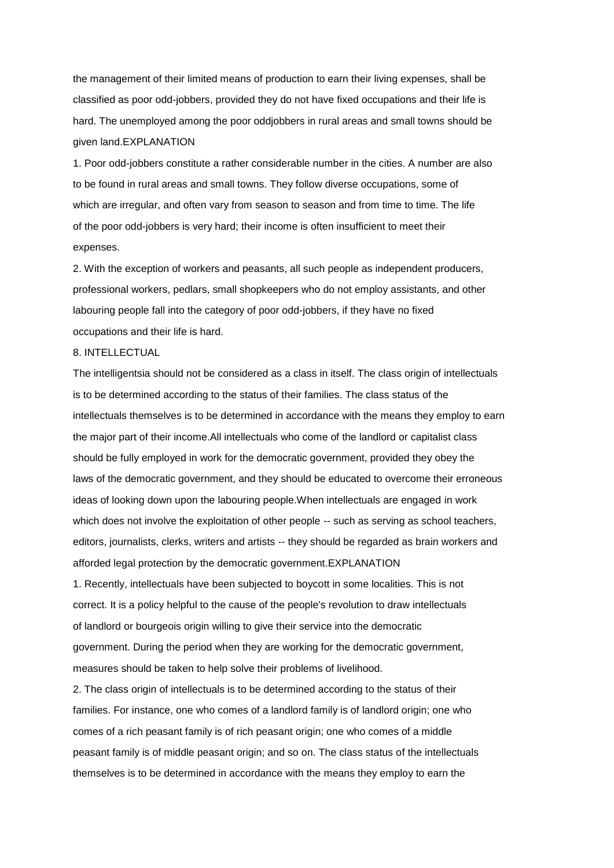the management of their limited means of production to earn their living expenses, shall be classified as poor odd-jobbers, provided they do not have fixed occupations and their life is hard. The unemployed among the poor oddjobbers in rural areas and small towns should be given land.EXPLANATION

1. Poor odd-jobbers constitute a rather considerable number in the cities. A number are also to be found in rural areas and small towns. They follow diverse occupations, some of which are irregular, and often vary from season to season and from time to time. The life of the poor odd-jobbers is very hard; their income is often insufficient to meet their expenses.

2. With the exception of workers and peasants, all such people as independent producers, professional workers, pedlars, small shopkeepers who do not employ assistants, and other labouring people fall into the category of poor odd-jobbers, if they have no fixed occupations and their life is hard.

#### 8. INTELLECTUAL

The intelligentsia should not be considered as a class in itself. The class origin of intellectuals is to be determined according to the status of their families. The class status of the intellectuals themselves is to be determined in accordance with the means they employ to earn the major part of their income.All intellectuals who come of the landlord or capitalist class should be fully employed in work for the democratic government, provided they obey the laws of the democratic government, and they should be educated to overcome their erroneous ideas of looking down upon the labouring people.When intellectuals are engaged in work which does not involve the exploitation of other people -- such as serving as school teachers, editors, journalists, clerks, writers and artists -- they should be regarded as brain workers and afforded legal protection by the democratic government.EXPLANATION

1. Recently, intellectuals have been subjected to boycott in some localities. This is not correct. It is a policy helpful to the cause of the people's revolution to draw intellectuals of landlord or bourgeois origin willing to give their service into the democratic government. During the period when they are working for the democratic government, measures should be taken to help solve their problems of livelihood.

2. The class origin of intellectuals is to be determined according to the status of their families. For instance, one who comes of a landlord family is of landlord origin; one who comes of a rich peasant family is of rich peasant origin; one who comes of a middle peasant family is of middle peasant origin; and so on. The class status of the intellectuals themselves is to be determined in accordance with the means they employ to earn the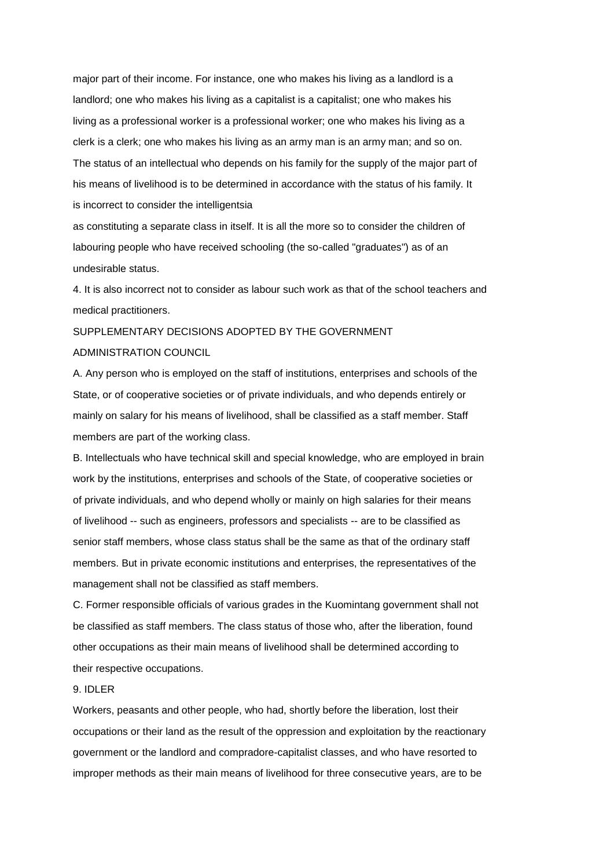major part of their income. For instance, one who makes his living as a landlord is a landlord; one who makes his living as a capitalist is a capitalist; one who makes his living as a professional worker is a professional worker; one who makes his living as a clerk is a clerk; one who makes his living as an army man is an army man; and so on. The status of an intellectual who depends on his family for the supply of the major part of his means of livelihood is to be determined in accordance with the status of his family. It is incorrect to consider the intelligentsia

as constituting a separate class in itself. It is all the more so to consider the children of labouring people who have received schooling (the so-called "graduates") as of an undesirable status.

4. It is also incorrect not to consider as labour such work as that of the school teachers and medical practitioners.

# SUPPLEMENTARY DECISIONS ADOPTED BY THE GOVERNMENT ADMINISTRATION COUNCIL

A. Any person who is employed on the staff of institutions, enterprises and schools of the State, or of cooperative societies or of private individuals, and who depends entirely or mainly on salary for his means of livelihood, shall be classified as a staff member. Staff members are part of the working class.

B. Intellectuals who have technical skill and special knowledge, who are employed in brain work by the institutions, enterprises and schools of the State, of cooperative societies or of private individuals, and who depend wholly or mainly on high salaries for their means of livelihood -- such as engineers, professors and specialists -- are to be classified as senior staff members, whose class status shall be the same as that of the ordinary staff members. But in private economic institutions and enterprises, the representatives of the management shall not be classified as staff members.

C. Former responsible officials of various grades in the Kuomintang government shall not be classified as staff members. The class status of those who, after the liberation, found other occupations as their main means of livelihood shall be determined according to their respective occupations.

#### 9. IDLER

Workers, peasants and other people, who had, shortly before the liberation, lost their occupations or their land as the result of the oppression and exploitation by the reactionary government or the landlord and compradore-capitalist classes, and who have resorted to improper methods as their main means of livelihood for three consecutive years, are to be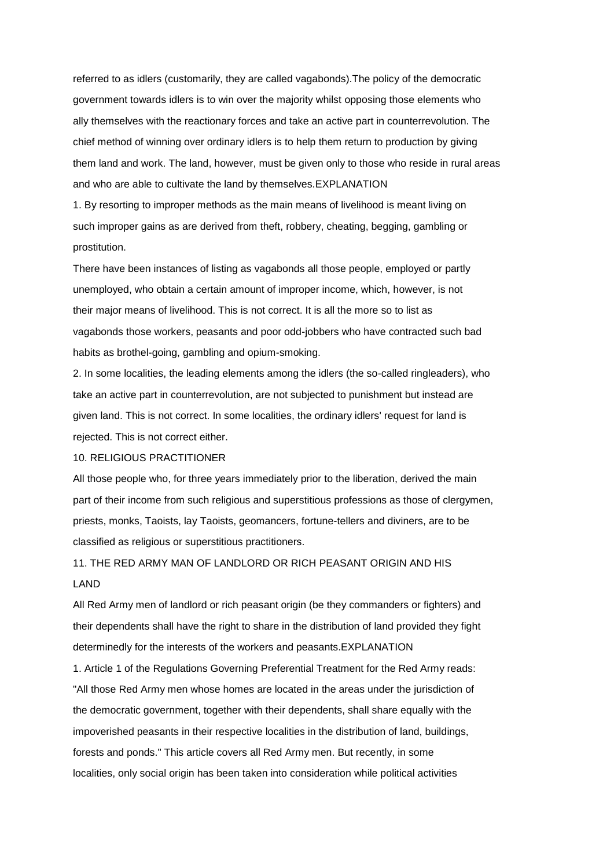referred to as idlers (customarily, they are called vagabonds).The policy of the democratic government towards idlers is to win over the majority whilst opposing those elements who ally themselves with the reactionary forces and take an active part in counterrevolution. The chief method of winning over ordinary idlers is to help them return to production by giving them land and work. The land, however, must be given only to those who reside in rural areas and who are able to cultivate the land by themselves.EXPLANATION

1. By resorting to improper methods as the main means of livelihood is meant living on such improper gains as are derived from theft, robbery, cheating, begging, gambling or prostitution.

There have been instances of listing as vagabonds all those people, employed or partly unemployed, who obtain a certain amount of improper income, which, however, is not their major means of livelihood. This is not correct. It is all the more so to list as vagabonds those workers, peasants and poor odd-jobbers who have contracted such bad habits as brothel-going, gambling and opium-smoking.

2. In some localities, the leading elements among the idlers (the so-called ringleaders), who take an active part in counterrevolution, are not subjected to punishment but instead are given land. This is not correct. In some localities, the ordinary idlers' request for land is rejected. This is not correct either.

#### 10. RELIGIOUS PRACTITIONER

All those people who, for three years immediately prior to the liberation, derived the main part of their income from such religious and superstitious professions as those of clergymen, priests, monks, Taoists, lay Taoists, geomancers, fortune-tellers and diviners, are to be classified as religious or superstitious practitioners.

# 11. THE RED ARMY MAN OF LANDLORD OR RICH PEASANT ORIGIN AND HIS LAND

All Red Army men of landlord or rich peasant origin (be they commanders or fighters) and their dependents shall have the right to share in the distribution of land provided they fight determinedly for the interests of the workers and peasants.EXPLANATION

1. Article 1 of the Regulations Governing Preferential Treatment for the Red Army reads: "All those Red Army men whose homes are located in the areas under the jurisdiction of the democratic government, together with their dependents, shall share equally with the impoverished peasants in their respective localities in the distribution of land, buildings, forests and ponds." This article covers all Red Army men. But recently, in some localities, only social origin has been taken into consideration while political activities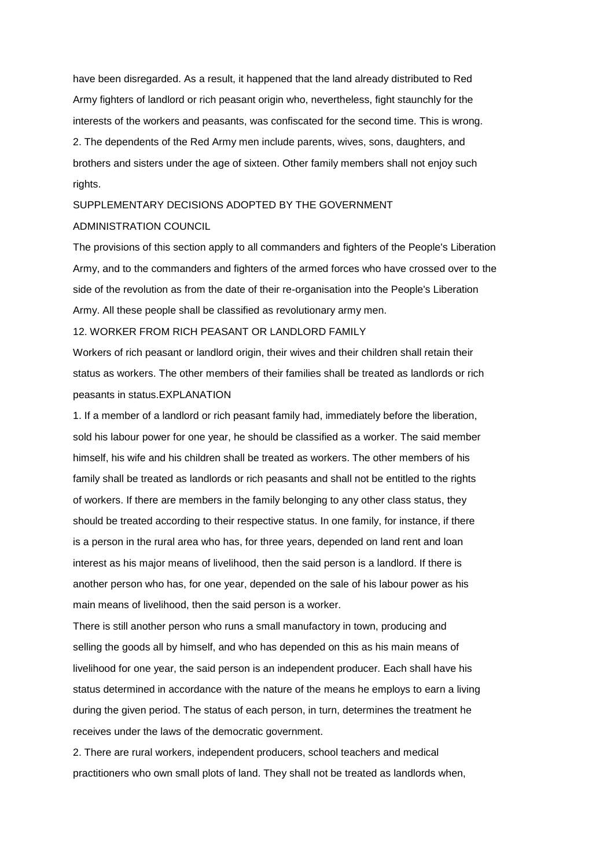have been disregarded. As a result, it happened that the land already distributed to Red Army fighters of landlord or rich peasant origin who, nevertheless, fight staunchly for the interests of the workers and peasants, was confiscated for the second time. This is wrong. 2. The dependents of the Red Army men include parents, wives, sons, daughters, and

brothers and sisters under the age of sixteen. Other family members shall not enjoy such rights.

## SUPPLEMENTARY DECISIONS ADOPTED BY THE GOVERNMENT ADMINISTRATION COUNCIL

The provisions of this section apply to all commanders and fighters of the People's Liberation Army, and to the commanders and fighters of the armed forces who have crossed over to the side of the revolution as from the date of their re-organisation into the People's Liberation Army. All these people shall be classified as revolutionary army men.

12. WORKER FROM RICH PEASANT OR LANDLORD FAMILY

Workers of rich peasant or landlord origin, their wives and their children shall retain their status as workers. The other members of their families shall be treated as landlords or rich peasants in status.EXPLANATION

1. If a member of a landlord or rich peasant family had, immediately before the liberation, sold his labour power for one year, he should be classified as a worker. The said member himself, his wife and his children shall be treated as workers. The other members of his family shall be treated as landlords or rich peasants and shall not be entitled to the rights of workers. If there are members in the family belonging to any other class status, they should be treated according to their respective status. In one family, for instance, if there is a person in the rural area who has, for three years, depended on land rent and loan interest as his major means of livelihood, then the said person is a landlord. If there is another person who has, for one year, depended on the sale of his labour power as his main means of livelihood, then the said person is a worker.

There is still another person who runs a small manufactory in town, producing and selling the goods all by himself, and who has depended on this as his main means of livelihood for one year, the said person is an independent producer. Each shall have his status determined in accordance with the nature of the means he employs to earn a living during the given period. The status of each person, in turn, determines the treatment he receives under the laws of the democratic government.

2. There are rural workers, independent producers, school teachers and medical practitioners who own small plots of land. They shall not be treated as landlords when,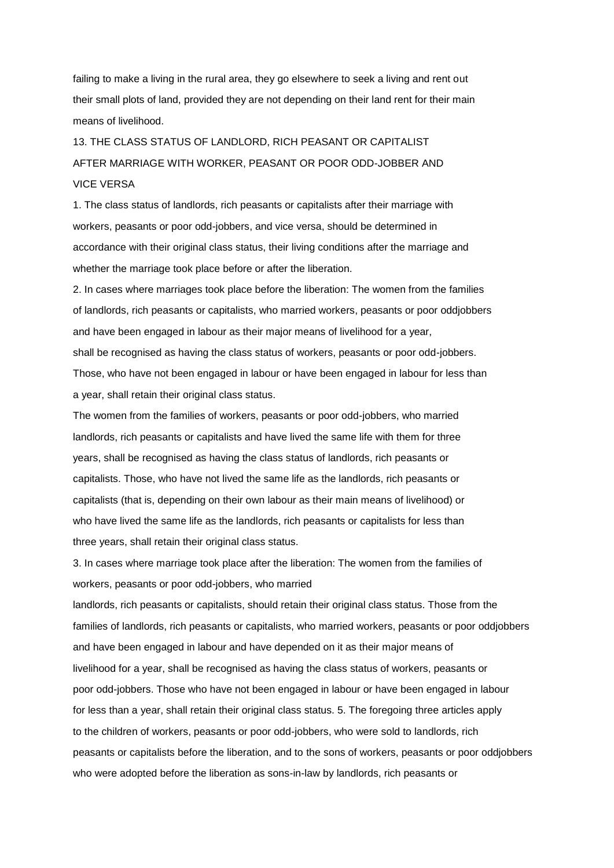failing to make a living in the rural area, they go elsewhere to seek a living and rent out their small plots of land, provided they are not depending on their land rent for their main means of livelihood.

# 13. THE CLASS STATUS OF LANDLORD, RICH PEASANT OR CAPITALIST AFTER MARRIAGE WITH WORKER, PEASANT OR POOR ODD-JOBBER AND VICE VERSA

1. The class status of landlords, rich peasants or capitalists after their marriage with workers, peasants or poor odd-jobbers, and vice versa, should be determined in accordance with their original class status, their living conditions after the marriage and whether the marriage took place before or after the liberation.

2. In cases where marriages took place before the liberation: The women from the families of landlords, rich peasants or capitalists, who married workers, peasants or poor oddjobbers and have been engaged in labour as their major means of livelihood for a year, shall be recognised as having the class status of workers, peasants or poor odd-jobbers.

Those, who have not been engaged in labour or have been engaged in labour for less than a year, shall retain their original class status.

The women from the families of workers, peasants or poor odd-jobbers, who married landlords, rich peasants or capitalists and have lived the same life with them for three years, shall be recognised as having the class status of landlords, rich peasants or capitalists. Those, who have not lived the same life as the landlords, rich peasants or capitalists (that is, depending on their own labour as their main means of livelihood) or who have lived the same life as the landlords, rich peasants or capitalists for less than three years, shall retain their original class status.

3. In cases where marriage took place after the liberation: The women from the families of workers, peasants or poor odd-jobbers, who married

landlords, rich peasants or capitalists, should retain their original class status. Those from the families of landlords, rich peasants or capitalists, who married workers, peasants or poor oddjobbers and have been engaged in labour and have depended on it as their major means of livelihood for a year, shall be recognised as having the class status of workers, peasants or poor odd-jobbers. Those who have not been engaged in labour or have been engaged in labour for less than a year, shall retain their original class status. 5. The foregoing three articles apply to the children of workers, peasants or poor odd-jobbers, who were sold to landlords, rich peasants or capitalists before the liberation, and to the sons of workers, peasants or poor oddjobbers who were adopted before the liberation as sons-in-law by landlords, rich peasants or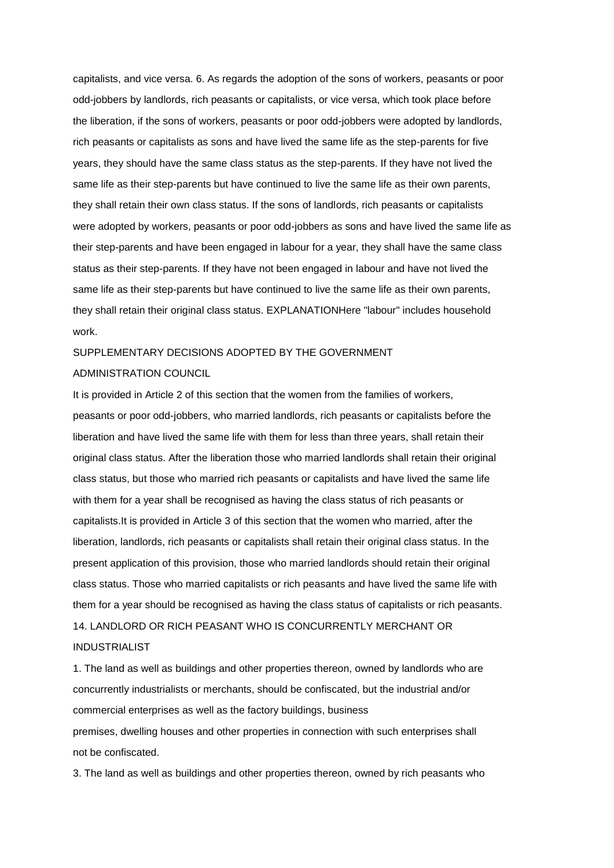capitalists, and vice versa. 6. As regards the adoption of the sons of workers, peasants or poor odd-jobbers by landlords, rich peasants or capitalists, or vice versa, which took place before the liberation, if the sons of workers, peasants or poor odd-jobbers were adopted by landlords, rich peasants or capitalists as sons and have lived the same life as the step-parents for five years, they should have the same class status as the step-parents. If they have not lived the same life as their step-parents but have continued to live the same life as their own parents, they shall retain their own class status. If the sons of landlords, rich peasants or capitalists were adopted by workers, peasants or poor odd-jobbers as sons and have lived the same life as their step-parents and have been engaged in labour for a year, they shall have the same class status as their step-parents. If they have not been engaged in labour and have not lived the same life as their step-parents but have continued to live the same life as their own parents, they shall retain their original class status. EXPLANATIONHere "labour" includes household work.

## SUPPLEMENTARY DECISIONS ADOPTED BY THE GOVERNMENT

#### ADMINISTRATION COUNCIL

not be confiscated.

It is provided in Article 2 of this section that the women from the families of workers, peasants or poor odd-jobbers, who married landlords, rich peasants or capitalists before the liberation and have lived the same life with them for less than three years, shall retain their original class status. After the liberation those who married landlords shall retain their original class status, but those who married rich peasants or capitalists and have lived the same life with them for a year shall be recognised as having the class status of rich peasants or capitalists.It is provided in Article 3 of this section that the women who married, after the liberation, landlords, rich peasants or capitalists shall retain their original class status. In the present application of this provision, those who married landlords should retain their original class status. Those who married capitalists or rich peasants and have lived the same life with them for a year should be recognised as having the class status of capitalists or rich peasants. 14. LANDLORD OR RICH PEASANT WHO IS CONCURRENTLY MERCHANT OR INDUSTRIALIST

1. The land as well as buildings and other properties thereon, owned by landlords who are concurrently industrialists or merchants, should be confiscated, but the industrial and/or commercial enterprises as well as the factory buildings, business premises, dwelling houses and other properties in connection with such enterprises shall

3. The land as well as buildings and other properties thereon, owned by rich peasants who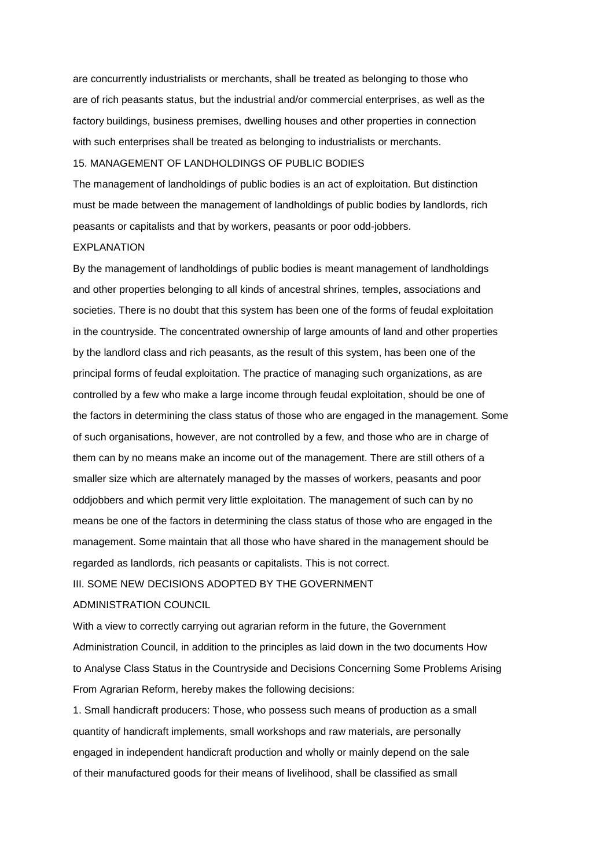are concurrently industrialists or merchants, shall be treated as belonging to those who are of rich peasants status, but the industrial and/or commercial enterprises, as well as the factory buildings, business premises, dwelling houses and other properties in connection with such enterprises shall be treated as belonging to industrialists or merchants.

## 15. MANAGEMENT OF LANDHOLDINGS OF PUBLIC BODIES

The management of landholdings of public bodies is an act of exploitation. But distinction must be made between the management of landholdings of public bodies by landlords, rich peasants or capitalists and that by workers, peasants or poor odd-jobbers.

#### EXPLANATION

By the management of landholdings of public bodies is meant management of landholdings and other properties belonging to all kinds of ancestral shrines, temples, associations and societies. There is no doubt that this system has been one of the forms of feudal exploitation in the countryside. The concentrated ownership of large amounts of land and other properties by the landlord class and rich peasants, as the result of this system, has been one of the principal forms of feudal exploitation. The practice of managing such organizations, as are controlled by a few who make a large income through feudal exploitation, should be one of the factors in determining the class status of those who are engaged in the management. Some of such organisations, however, are not controlled by a few, and those who are in charge of them can by no means make an income out of the management. There are still others of a smaller size which are alternately managed by the masses of workers, peasants and poor oddjobbers and which permit very little exploitation. The management of such can by no means be one of the factors in determining the class status of those who are engaged in the management. Some maintain that all those who have shared in the management should be regarded as landlords, rich peasants or capitalists. This is not correct.

III. SOME NEW DECISIONS ADOPTED BY THE GOVERNMENT

#### ADMINISTRATION COUNCIL

With a view to correctly carrying out agrarian reform in the future, the Government Administration Council, in addition to the principles as laid down in the two documents How to Analyse Class Status in the Countryside and Decisions Concerning Some Problems Arising From Agrarian Reform, hereby makes the following decisions:

1. Small handicraft producers: Those, who possess such means of production as a small quantity of handicraft implements, small workshops and raw materials, are personally engaged in independent handicraft production and wholly or mainly depend on the sale of their manufactured goods for their means of livelihood, shall be classified as small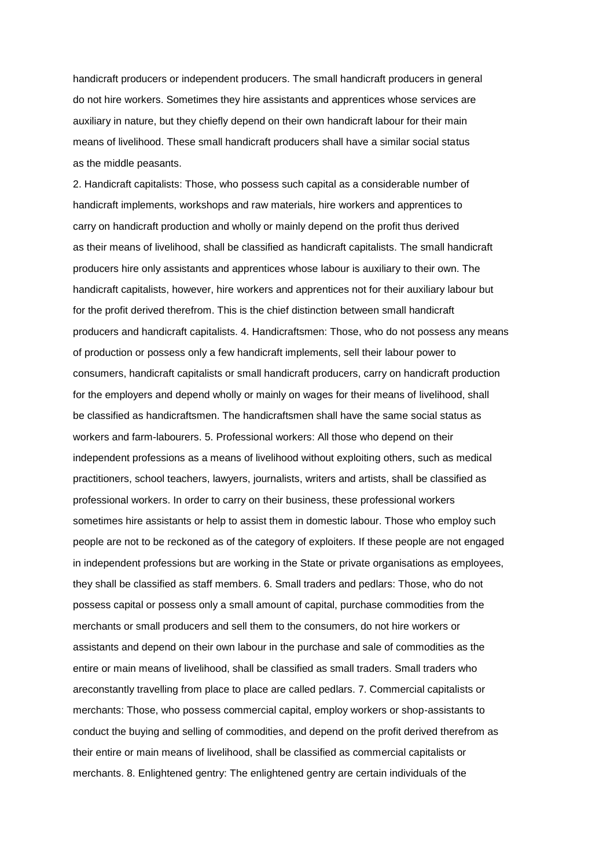handicraft producers or independent producers. The small handicraft producers in general do not hire workers. Sometimes they hire assistants and apprentices whose services are auxiliary in nature, but they chiefly depend on their own handicraft labour for their main means of livelihood. These small handicraft producers shall have a similar social status as the middle peasants.

2. Handicraft capitalists: Those, who possess such capital as a considerable number of handicraft implements, workshops and raw materials, hire workers and apprentices to carry on handicraft production and wholly or mainly depend on the profit thus derived as their means of livelihood, shall be classified as handicraft capitalists. The small handicraft producers hire only assistants and apprentices whose labour is auxiliary to their own. The handicraft capitalists, however, hire workers and apprentices not for their auxiliary labour but for the profit derived therefrom. This is the chief distinction between small handicraft producers and handicraft capitalists. 4. Handicraftsmen: Those, who do not possess any means of production or possess only a few handicraft implements, sell their labour power to consumers, handicraft capitalists or small handicraft producers, carry on handicraft production for the employers and depend wholly or mainly on wages for their means of livelihood, shall be classified as handicraftsmen. The handicraftsmen shall have the same social status as workers and farm-labourers. 5. Professional workers: All those who depend on their independent professions as a means of livelihood without exploiting others, such as medical practitioners, school teachers, lawyers, journalists, writers and artists, shall be classified as professional workers. In order to carry on their business, these professional workers sometimes hire assistants or help to assist them in domestic labour. Those who employ such people are not to be reckoned as of the category of exploiters. If these people are not engaged in independent professions but are working in the State or private organisations as employees, they shall be classified as staff members. 6. Small traders and pedlars: Those, who do not possess capital or possess only a small amount of capital, purchase commodities from the merchants or small producers and sell them to the consumers, do not hire workers or assistants and depend on their own labour in the purchase and sale of commodities as the entire or main means of livelihood, shall be classified as small traders. Small traders who areconstantly travelling from place to place are called pedlars. 7. Commercial capitalists or merchants: Those, who possess commercial capital, employ workers or shop-assistants to conduct the buying and selling of commodities, and depend on the profit derived therefrom as their entire or main means of livelihood, shall be classified as commercial capitalists or merchants. 8. Enlightened gentry: The enlightened gentry are certain individuals of the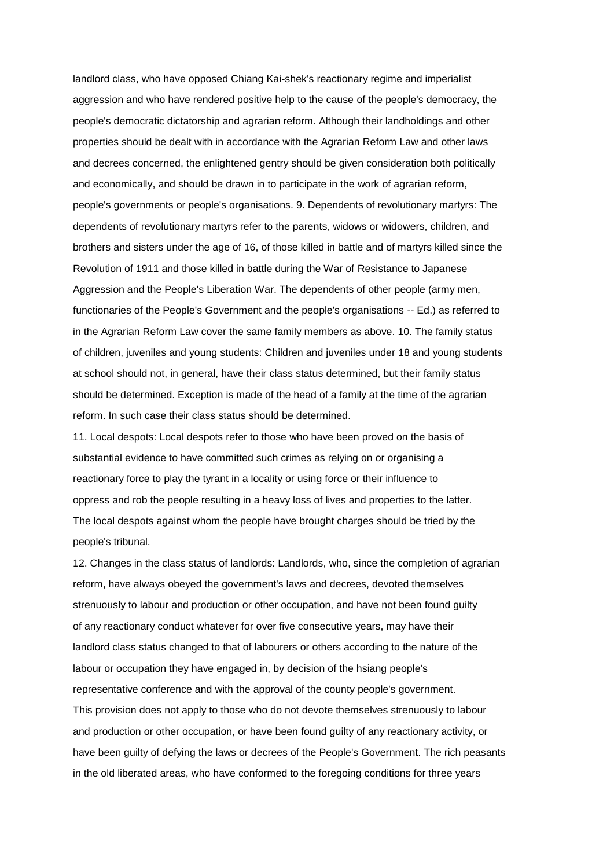landlord class, who have opposed Chiang Kai-shek's reactionary regime and imperialist aggression and who have rendered positive help to the cause of the people's democracy, the people's democratic dictatorship and agrarian reform. Although their landholdings and other properties should be dealt with in accordance with the Agrarian Reform Law and other laws and decrees concerned, the enlightened gentry should be given consideration both politically and economically, and should be drawn in to participate in the work of agrarian reform, people's governments or people's organisations. 9. Dependents of revolutionary martyrs: The dependents of revolutionary martyrs refer to the parents, widows or widowers, children, and brothers and sisters under the age of 16, of those killed in battle and of martyrs killed since the Revolution of 1911 and those killed in battle during the War of Resistance to Japanese Aggression and the People's Liberation War. The dependents of other people (army men, functionaries of the People's Government and the people's organisations -- Ed.) as referred to in the Agrarian Reform Law cover the same family members as above. 10. The family status of children, juveniles and young students: Children and juveniles under 18 and young students at school should not, in general, have their class status determined, but their family status should be determined. Exception is made of the head of a family at the time of the agrarian reform. In such case their class status should be determined.

11. Local despots: Local despots refer to those who have been proved on the basis of substantial evidence to have committed such crimes as relying on or organising a reactionary force to play the tyrant in a locality or using force or their influence to oppress and rob the people resulting in a heavy loss of lives and properties to the latter. The local despots against whom the people have brought charges should be tried by the people's tribunal.

12. Changes in the class status of landlords: Landlords, who, since the completion of agrarian reform, have always obeyed the government's laws and decrees, devoted themselves strenuously to labour and production or other occupation, and have not been found guilty of any reactionary conduct whatever for over five consecutive years, may have their landlord class status changed to that of labourers or others according to the nature of the labour or occupation they have engaged in, by decision of the hsiang people's representative conference and with the approval of the county people's government. This provision does not apply to those who do not devote themselves strenuously to labour and production or other occupation, or have been found guilty of any reactionary activity, or have been guilty of defying the laws or decrees of the People's Government. The rich peasants in the old liberated areas, who have conformed to the foregoing conditions for three years